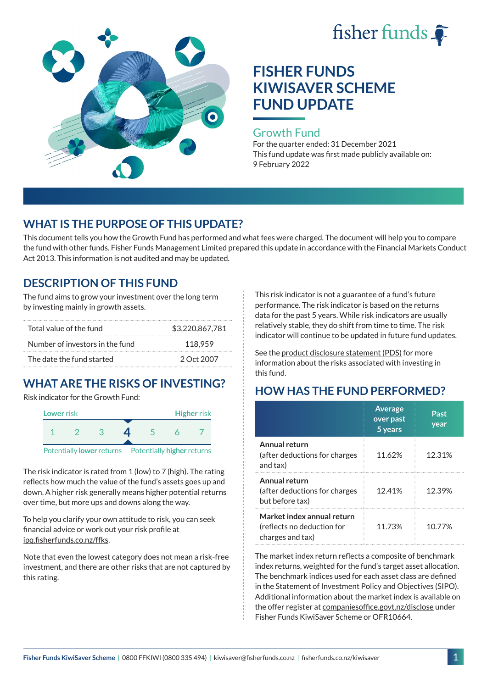



#### Growth Fund

For the quarter ended: 31 December 2021 This fund update was first made publicly available on: 9 February 2022

## **WHAT IS THE PURPOSE OF THIS UPDATE?**

This document tells you how the Growth Fund has performed and what fees were charged. The document will help you to compare the fund with other funds. Fisher Funds Management Limited prepared this update in accordance with the Financial Markets Conduct Act 2013. This information is not audited and may be updated.

## **DESCRIPTION OF THIS FUND**

The fund aims to grow your investment over the long term by investing mainly in growth assets.

| Total value of the fund         | \$3,220,867,781 |
|---------------------------------|-----------------|
| Number of investors in the fund | 118.959         |
| The date the fund started       | 2 Oct 2007      |

# **WHAT ARE THE RISKS OF INVESTING?**

Risk indicator for the Growth Fund:



The risk indicator is rated from 1 (low) to 7 (high). The rating reflects how much the value of the fund's assets goes up and down. A higher risk generally means higher potential returns over time, but more ups and downs along the way.

To help you clarify your own attitude to risk, you can seek financial advice or work out your risk profile at [ipq.fisherfunds.co.nz/ffks](https://ipq.fisherfunds.co.nz/ffks).

Note that even the lowest category does not mean a risk-free investment, and there are other risks that are not captured by this rating.

This risk indicator is not a guarantee of a fund's future performance. The risk indicator is based on the returns data for the past 5 years. While risk indicators are usually relatively stable, they do shift from time to time. The risk indicator will continue to be updated in future fund updates.

See the [product disclosure statement \(PDS\)](https://fisherfunds.co.nz/assets/PDS/Fisher-Funds-KiwiSaver-Scheme-PDS.pdf) for more information about the risks associated with investing in this fund.

## **HOW HAS THE FUND PERFORMED?**

|                                                                              | <b>Average</b><br>over past<br>5 years | Past<br>year |
|------------------------------------------------------------------------------|----------------------------------------|--------------|
| Annual return<br>(after deductions for charges<br>and tax)                   | 11.62%                                 | 12.31%       |
| Annual return<br>(after deductions for charges<br>but before tax)            | 12.41%                                 | 12.39%       |
| Market index annual return<br>(reflects no deduction for<br>charges and tax) | 11.73%                                 | 10.77%       |

The market index return reflects a composite of benchmark index returns, weighted for the fund's target asset allocation. The benchmark indices used for each asset class are defined in the Statement of Investment Policy and Objectives (SIPO). Additional information about the market index is available on the offer register at [companiesoffice.govt.nz/disclose](http://companiesoffice.govt.nz/disclose) under Fisher Funds KiwiSaver Scheme or OFR10664.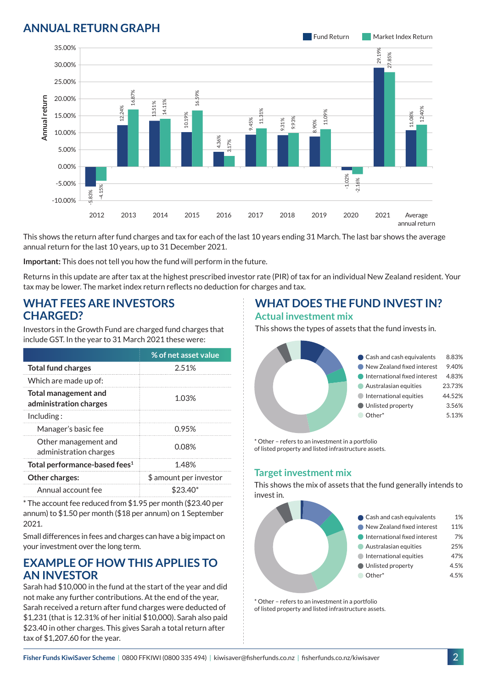## **ANNUAL RETURN GRAPH**



This shows the return after fund charges and tax for each of the last 10 years ending 31 March. The last bar shows the average annual return for the last 10 years, up to 31 December 2021.

**Important:** This does not tell you how the fund will perform in the future.

Returns in this update are after tax at the highest prescribed investor rate (PIR) of tax for an individual New Zealand resident. Your tax may be lower. The market index return reflects no deduction for charges and tax.

### **WHAT FEES ARE INVESTORS CHARGED?**

Investors in the Growth Fund are charged fund charges that include GST. In the year to 31 March 2021 these were:

|                                                | % of net asset value   |
|------------------------------------------------|------------------------|
| <b>Total fund charges</b>                      | 2.51%                  |
| Which are made up of:                          |                        |
| Total management and<br>administration charges | 1.03%                  |
| Inding:                                        |                        |
| Manager's basic fee                            | <u>በ 95%</u>           |
| Other management and<br>administration charges | 0.08%                  |
| Total performance-based fees <sup>1</sup>      | 1.48%                  |
| Other charges:                                 | \$ amount per investor |
| Annual account fee                             | \$23.40*               |

\* The account fee reduced from \$1.95 per month (\$23.40 per annum) to \$1.50 per month (\$18 per annum) on 1 September 2021.

Small differences in fees and charges can have a big impact on your investment over the long term.

### **EXAMPLE OF HOW THIS APPLIES TO AN INVESTOR**

Sarah had \$10,000 in the fund at the start of the year and did not make any further contributions. At the end of the year, Sarah received a return after fund charges were deducted of \$1,231 (that is 12.31% of her initial \$10,000). Sarah also paid \$23.40 in other charges. This gives Sarah a total return after tax of \$1,207.60 for the year.

#### **WHAT DOES THE FUND INVEST IN? Actual investment mix**

This shows the types of assets that the fund invests in.



\* Other – refers to an investment in a portfolio of listed property and listed infrastructure assets.

#### **Target investment mix**

This shows the mix of assets that the fund generally intends to invest in.



\* Other – refers to an investment in a portfolio of listed property and listed infrastructure assets.